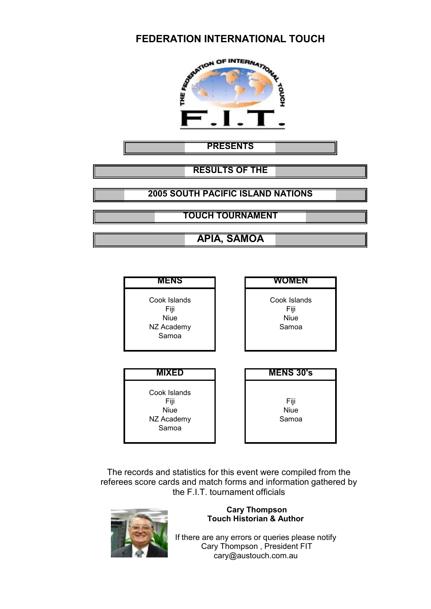

**PRESENTS**

**RESULTS OF THE**

**2005 SOUTH PACIFIC ISLAND NATIONS**

**TOUCH TOURNAMENT**

**APIA, SAMOA**

| <b>MENS</b>                                                | <b>WOMEN</b>                                 |
|------------------------------------------------------------|----------------------------------------------|
| Cook Islands<br>Fiji<br><b>Niue</b><br>NZ Academy<br>Samoa | Cook Islands<br>Fiji<br><b>Niue</b><br>Samoa |
|                                                            |                                              |
| <b>MIXED</b>                                               | <b>MENS 30's</b>                             |

The records and statistics for this event were compiled from the referees score cards and match forms and information gathered by the F.I.T. tournament officials



#### **Cary Thompson Touch Historian & Author**

If there are any errors or queries please notify Cary Thompson , President FIT cary@austouch.com.au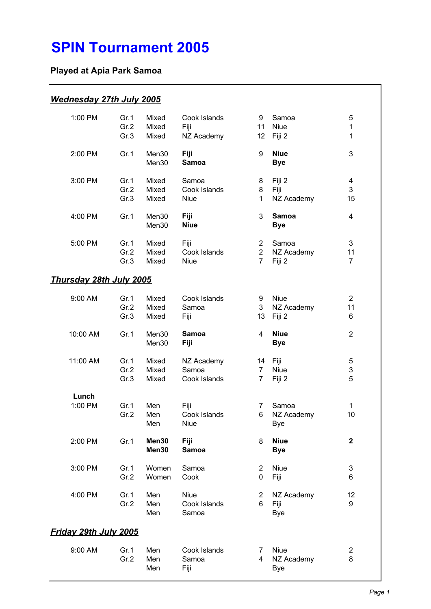# **SPIN Tournament 2005**

# **Played at Apia Park Samoa**

| Wednesday 27th July 2005       |                      |                         |                                      |                                                    |                                         |                           |
|--------------------------------|----------------------|-------------------------|--------------------------------------|----------------------------------------------------|-----------------------------------------|---------------------------|
| 1:00 PM                        | Gr.1<br>Gr.2<br>Gr.3 | Mixed<br>Mixed<br>Mixed | Cook Islands<br>Fiji<br>NZ Academy   | 9<br>11<br>12                                      | Samoa<br><b>Niue</b><br>Fiji 2          | 5<br>1<br>1               |
| 2:00 PM                        | Gr.1                 | Men30<br>Men30          | Fiji<br><b>Samoa</b>                 | 9                                                  | <b>Niue</b><br><b>Bye</b>               | 3                         |
| 3:00 PM                        | Gr.1<br>Gr.2<br>Gr.3 | Mixed<br>Mixed<br>Mixed | Samoa<br>Cook Islands<br><b>Niue</b> | 8<br>8<br>$\mathbf{1}$                             | Fiji 2<br>Fiji<br>NZ Academy            | 4<br>3<br>15              |
| 4:00 PM                        | Gr.1                 | Men30<br>Men30          | <b>Fiji</b><br><b>Niue</b>           | 3                                                  | <b>Samoa</b><br><b>Bye</b>              | 4                         |
| 5:00 PM                        | Gr.1<br>Gr.2<br>Gr.3 | Mixed<br>Mixed<br>Mixed | Fiji<br>Cook Islands<br><b>Niue</b>  | $\overline{2}$<br>$\overline{2}$<br>$\overline{7}$ | Samoa<br>NZ Academy<br>Fiji 2           | 3<br>11<br>$\overline{7}$ |
| <u>Thursdav 28th Julv 2005</u> |                      |                         |                                      |                                                    |                                         |                           |
| 9:00 AM                        | Gr.1<br>Gr.2<br>Gr.3 | Mixed<br>Mixed<br>Mixed | Cook Islands<br>Samoa<br>Fiji        | 9<br>3<br>13                                       | <b>Niue</b><br>NZ Academy<br>Fiji 2     | $\overline{2}$<br>11<br>6 |
| 10:00 AM                       | Gr.1                 | Men30<br>Men30          | Samoa<br>Fiji                        | 4                                                  | <b>Niue</b><br><b>Bye</b>               | $\overline{2}$            |
| 11:00 AM                       | Gr.1<br>Gr.2<br>Gr.3 | Mixed<br>Mixed<br>Mixed | NZ Academy<br>Samoa<br>Cook Islands  | 14<br>$\overline{7}$<br>$\overline{7}$             | Fiji<br><b>Niue</b><br>Fiji 2           | 5<br>3<br>5               |
| Lunch                          |                      |                         |                                      |                                                    |                                         |                           |
| 1:00 PM                        | Gr.1<br>Gr.2         | Men<br>Men<br>Men       | Fiji<br>Cook Islands<br><b>Niue</b>  | 7 <sup>7</sup><br>6                                | Samoa<br>NZ Academy<br><b>Bye</b>       | 1<br>10                   |
| 2:00 PM                        | Gr.1                 | Men30<br>Men30          | <b>Fiji</b><br>Samoa                 | 8                                                  | <b>Niue</b><br><b>Bye</b>               | $\mathbf 2$               |
| 3:00 PM                        | Gr.1<br>Gr.2         | Women<br>Women          | Samoa<br>Cook                        | $\overline{2}$<br>$\mathbf 0$                      | Niue<br>Fiji                            | 3<br>6                    |
| 4:00 PM                        | Gr.1<br>Gr.2         | Men<br>Men<br>Men       | <b>Niue</b><br>Cook Islands<br>Samoa | $\overline{2}$<br>6                                | NZ Academy<br>Fiji<br><b>Bye</b>        | 12<br>9                   |
| Friday 29th July 2005          |                      |                         |                                      |                                                    |                                         |                           |
| 9:00 AM                        | Gr.1<br>Gr.2         | Men<br>Men<br>Men       | Cook Islands<br>Samoa<br>Fiji        | $\overline{7}$<br>4                                | <b>Niue</b><br>NZ Academy<br><b>Bye</b> | $\overline{2}$<br>8       |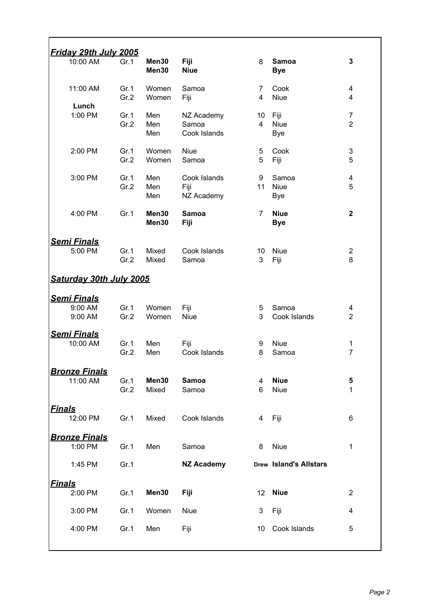| <u>Friday 29th July 2005</u>             |              |                   |                                     |                      |                                    |                                  |
|------------------------------------------|--------------|-------------------|-------------------------------------|----------------------|------------------------------------|----------------------------------|
| 10:00 AM                                 | Gr.1         | Men30<br>Men30    | <b>Fiji</b><br><b>Niue</b>          | 8                    | <b>Samoa</b><br><b>Bye</b>         | 3                                |
| 11:00 AM                                 | Gr.1<br>Gr.2 | Women<br>Women    | Samoa<br>Fiji                       | 7<br>4               | Cook<br><b>Niue</b>                | 4<br>4                           |
| Lunch<br>1:00 PM                         | Gr.1<br>Gr.2 | Men<br>Men<br>Men | NZ Academy<br>Samoa<br>Cook Islands | 10<br>$\overline{4}$ | Fiji<br><b>Niue</b><br><b>Bye</b>  | $\overline{7}$<br>$\overline{2}$ |
| 2:00 PM                                  | Gr.1<br>Gr.2 | Women<br>Women    | <b>Niue</b><br>Samoa                | 5<br>5               | Cook<br>Fiji                       | $\ensuremath{\mathsf{3}}$<br>5   |
| 3:00 PM                                  | Gr.1<br>Gr.2 | Men<br>Men<br>Men | Cook Islands<br>Fiji<br>NZ Academy  | 9<br>11              | Samoa<br><b>Niue</b><br><b>Bye</b> | 4<br>5                           |
| 4:00 PM                                  | Gr.1         | Men30<br>Men30    | <b>Samoa</b><br>Fiji                | $\overline{7}$       | <b>Niue</b><br><b>Bye</b>          | $\mathbf{2}$                     |
| <b>Semi Finals</b><br>5:00 PM            | Gr.1<br>Gr.2 | Mixed<br>Mixed    | Cook Islands<br>Samoa               | 10<br>3              | <b>Niue</b><br>Fiji                | $\overline{c}$<br>8              |
| Saturday 30th July 2005                  |              |                   |                                     |                      |                                    |                                  |
| <u>Semi Finals</u><br>9:00 AM<br>9:00 AM | Gr.1<br>Gr.2 | Women<br>Women    | Fiji<br><b>Niue</b>                 | 5<br>3               | Samoa<br>Cook Islands              | 4<br>$\overline{2}$              |
| <u>Semi Finals</u><br>10:00 AM           | Gr.1<br>Gr.2 | Men<br>Men        | Fiji<br>Cook Islands                | 9<br>8               | <b>Niue</b><br>Samoa               | 1<br>$\overline{7}$              |
| <b>Bronze Finals</b><br>11:00 AM         | Gr.1<br>Gr.2 | Men30<br>Mixed    | Samoa<br>Samoa                      | 4<br>6               | <b>Niue</b><br><b>Niue</b>         | 5<br>1                           |
| <u> Finals</u><br>12:00 PM               | Gr.1         | Mixed             | Cook Islands                        | 4                    | Fiji                               | 6                                |
| <u> Bronze Finals</u><br>1:00 PM         | Gr.1         | Men               | Samoa                               | 8                    | Niue                               | 1                                |
| 1:45 PM                                  | Gr.1         |                   | <b>NZ Academy</b>                   |                      | <b>Drew Island's Allstars</b>      |                                  |
| <u>Finals</u><br>2:00 PM                 | Gr.1         | Men30             | Fiji                                | 12                   | <b>Niue</b>                        | $\overline{2}$                   |
| 3:00 PM                                  | Gr.1         | Women             | <b>Niue</b>                         | 3                    | Fiji                               | 4                                |
| 4:00 PM                                  | Gr.1         | Men               | Fiji                                | 10                   | Cook Islands                       | 5                                |
|                                          |              |                   |                                     |                      |                                    |                                  |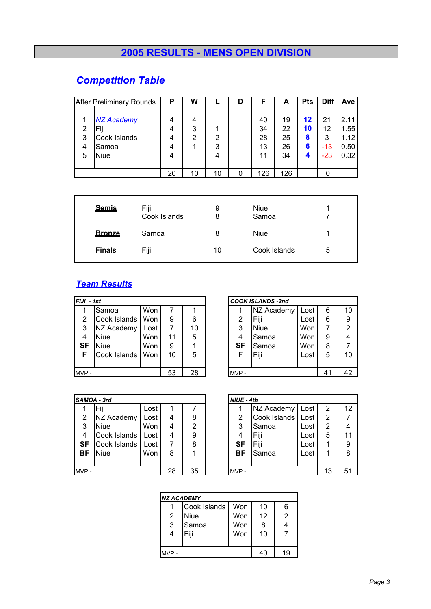# **2005 RESULTS - MENS OPEN DIVISION**

# *Competition Table*

| <b>After Preliminary Rounds</b>                                                       | Ρ                     | W           |             | D | F                          | A                          | <b>Pts</b>              | <b>Diff</b>                   | Ave                                  |
|---------------------------------------------------------------------------------------|-----------------------|-------------|-------------|---|----------------------------|----------------------------|-------------------------|-------------------------------|--------------------------------------|
| <b>NZ Academy</b><br>Fiji<br>2<br>Cook Islands<br>3<br>Samoa<br>4<br><b>Niue</b><br>5 | 4<br>4<br>4<br>4<br>4 | 4<br>3<br>2 | 2<br>3<br>4 |   | 40<br>34<br>28<br>13<br>11 | 19<br>22<br>25<br>26<br>34 | 12<br>10<br>8<br>6<br>4 | 21<br>12<br>3<br>$-13$<br>-23 | 2.11<br>1.55<br>1.12<br>0.50<br>0.32 |
|                                                                                       | 20                    | 10          | 10          | 0 | 126                        | 126                        |                         |                               |                                      |

| <b>Semis</b>  | Fiji<br>Cook Islands | 9<br>8 | <b>Niue</b><br>Samoa |   |
|---------------|----------------------|--------|----------------------|---|
| <b>Bronze</b> | Samoa                | 8      | Niue                 |   |
| <b>Einals</b> | Fiji                 | 10     | Cook Islands         | 5 |

### *Team Results*

|               | FIJI - 1st   |            |    |    |  |      | <b>COOK ISLANDS -2nd</b> |      |    |                |
|---------------|--------------|------------|----|----|--|------|--------------------------|------|----|----------------|
|               | Samoa        | <b>Won</b> | 7  |    |  |      | NZ Academy               | Lost | 6  | 10             |
| $\mathcal{P}$ | Cook Islands | <b>Won</b> | 9  | 6  |  | 2    | Fiji                     | Lost | 6  | 9              |
| 3             | NZ Academy   | Lost       | 7  | 10 |  | 3    | Niue                     | Won  |    | $\overline{2}$ |
| 4             | <b>Niue</b>  | <b>Won</b> | 11 | 5  |  | 4    | Samoa                    | Won  | 9  | 4              |
| SF            | <b>Niue</b>  | <b>Won</b> | 9  |    |  | SF   | Samoa                    | Won  | 8  | 7              |
| F             | Cook Islands | Won        | 10 | 5  |  | F    | Fiji                     | Lost | 5  | 10             |
|               |              |            |    |    |  |      |                          |      |    |                |
| MVP-          |              |            | 53 | 28 |  | MVP- |                          |      | 41 | 42             |

| SAMOA - 3rd    |              |      |    |    |  | NIUE - 4th |              |      |    |    |  |
|----------------|--------------|------|----|----|--|------------|--------------|------|----|----|--|
|                | Fiji         | Lost |    |    |  |            | NZ Academy   | Lost | 2  | 12 |  |
| $\overline{2}$ | NZ Academy   | Lost | 4  | 8  |  | 2          | Cook Islands | Lost | 2  | 7  |  |
| 3              | <b>Niue</b>  | Won  | 4  | 2  |  | 3          | Samoa        | Lost | 2  | 4  |  |
| 4              | Cook Islands | Lost | 4  | 9  |  | 4          | Fiji         | Lost | 5  | 11 |  |
| <b>SF</b>      | Cook Islands | Lost |    | 8  |  | <b>SF</b>  | Fiji         | Lost | 1  | 9  |  |
| <b>BF</b>      | <b>Niue</b>  | Won  | 8  |    |  | <b>BF</b>  | Samoa        | Lost |    | 8  |  |
|                |              |      |    |    |  |            |              |      |    |    |  |
| MVP-           |              |      | 28 | 35 |  | MVP-       |              |      | 13 | 51 |  |

|                  | II - 1st     |      |    |      |  | <b>COOK ISLANDS -2nd</b> |            |      |   |                |
|------------------|--------------|------|----|------|--|--------------------------|------------|------|---|----------------|
| $\mathbf{1}$     | Samoa        | Won  |    |      |  |                          | NZ Academy | Lost | 6 | 10             |
| $\overline{2}$   | Cook Islands | Won  | 9  | 6    |  | 2                        | Fiji       | Lost | 6 | 9              |
| 3                | NZ Academy   | Lost |    | 10   |  | 3                        | Niue       | Won  |   | $\overline{2}$ |
| 4                | <b>Niue</b>  | Won  | 11 | 5    |  | 4                        | Samoa      | Won  | 9 | 4              |
| SF               | <b>Niue</b>  | Won  | 9  |      |  | <b>SF</b>                | Samoa      | Won  | 8 |                |
| F.               | Cook Islands | Won  | 10 | 5    |  | F                        | Fiji       | Lost | 5 | 10             |
|                  |              |      |    |      |  |                          |            |      |   |                |
| 28<br>53<br>/P - |              |      |    | MVP- |  |                          | 41         | 42   |   |                |

| NIUE - 4th              |              |      |                |    |  |  |  |  |
|-------------------------|--------------|------|----------------|----|--|--|--|--|
|                         | NZ Academy   | Lost | 2              | 12 |  |  |  |  |
| $\overline{2}$          | Cook Islands | Lost | $\overline{2}$ |    |  |  |  |  |
| 3                       | Samoa        | Lost | $\overline{2}$ |    |  |  |  |  |
| $\overline{\mathbf{4}}$ | Fiji         | Lost | 5              | 11 |  |  |  |  |
| <b>SF</b>               | Fiji         | Lost |                | 9  |  |  |  |  |
| BF                      | Samoa        | Lost |                | 8  |  |  |  |  |
|                         |              |      |                |    |  |  |  |  |
|                         |              |      | 13             | 51 |  |  |  |  |

| <b>NZ ACADEMY</b> |              |     |    |    |  |  |  |
|-------------------|--------------|-----|----|----|--|--|--|
|                   | Cook Islands | Won | 10 | 6  |  |  |  |
| $\overline{2}$    | <b>Niue</b>  | Won | 12 | 2  |  |  |  |
| 3                 | Samoa        | Won | 8  | 4  |  |  |  |
|                   | Fiji         | Won | 10 |    |  |  |  |
|                   |              |     |    |    |  |  |  |
|                   |              |     |    | 19 |  |  |  |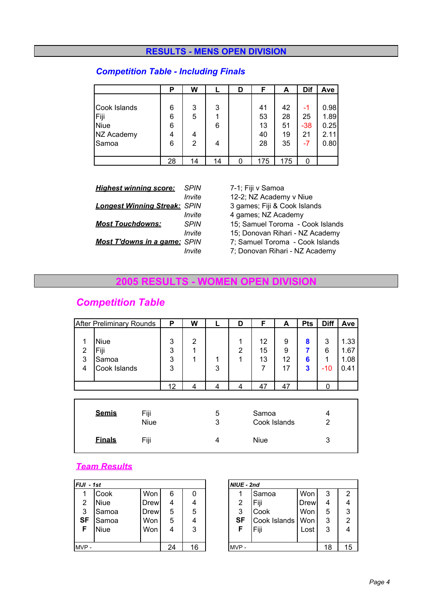#### **RESULTS - MENS OPEN DIVISION**

#### *Competition Table - Including Finals*

|              | Р  | W  |    | D | F   | A   | Dif   | Ave  |
|--------------|----|----|----|---|-----|-----|-------|------|
|              |    |    |    |   |     |     |       |      |
| Cook Islands | 6  | 3  | 3  |   | 41  | 42  | -1    | 0.98 |
| Fiji         | 6  | 5  |    |   | 53  | 28  | 25    | 1.89 |
| <b>Niue</b>  | 6  |    | 6  |   | 13  | 51  | $-38$ | 0.25 |
| NZ Academy   | 4  | 4  |    |   | 40  | 19  | 21    | 2.11 |
| Samoa        | 6  | 2  | 4  |   | 28  | 35  | -7    | 0.80 |
|              |    |    |    |   |     |     |       |      |
|              | 28 | 14 | 14 |   | 175 | 175 | O     |      |

| <b>Highest winning score:</b>       | SPIN   |
|-------------------------------------|--------|
|                                     | Invite |
| <b>Longest Winning Streak: SPIN</b> |        |
|                                     | Invite |
| <b>Most Touchdowns:</b>             | SPIN   |
|                                     | Invite |
| <b>Most T'downs in a game: SPIN</b> |        |
|                                     | Invite |

*Highest winning score: SPIN* 7-1; Fiji v Samoa 12-2; NZ Academy v Niue *Longest Winning Streak: SPIN* 3 games; Fiji & Cook Islands 4 games; NZ Academy 15; Samuel Toroma - Cook Islands 15; Donovan Rihari - NZ Academy 7; Samuel Toroma - Cook Islands 7; Donovan Rihari - NZ Academy

#### **2005 RESULTS - WOMEN OPEN DIVISION**

# *Competition Table*

|                               | <b>After Preliminary Rounds</b>              |                     | P                | W           |        | D                        | F                     | A                  | <b>Pts</b>       | <b>Diff</b>          | Ave                          |
|-------------------------------|----------------------------------------------|---------------------|------------------|-------------|--------|--------------------------|-----------------------|--------------------|------------------|----------------------|------------------------------|
| 1<br>$\overline{2}$<br>3<br>4 | <b>Niue</b><br>Fiji<br>Samoa<br>Cook Islands |                     | 3<br>3<br>3<br>3 | 2<br>1<br>1 | 1<br>3 | 1<br>$\overline{2}$<br>1 | 12<br>15<br>13<br>7   | 9<br>9<br>12<br>17 | 8<br>7<br>6<br>3 | 3<br>6<br>1<br>$-10$ | 1.33<br>1.67<br>1.08<br>0.41 |
|                               |                                              |                     | 12               | 4           | 4      | 4                        | 47                    | 47                 |                  | 0                    |                              |
|                               |                                              |                     |                  |             |        |                          |                       |                    |                  |                      |                              |
|                               | <b>Semis</b>                                 | Fiji<br><b>Niue</b> |                  |             | 5<br>3 |                          | Samoa<br>Cook Islands |                    |                  | 4<br>$\overline{2}$  |                              |
|                               | <b>Einals</b>                                | Fiji                |                  |             | 4      |                          | <b>Niue</b>           |                    |                  | 3                    |                              |

### *Team Results*

| $FJJI - 1st$ |       |             |    |    | NIUE - 2nd |              |             |    |                |
|--------------|-------|-------------|----|----|------------|--------------|-------------|----|----------------|
| 1            | Cook  | Won         | 6  | 0  |            | Samoa        | Won         | 3  | 2              |
| 2            | Niue  | <b>Drew</b> | 4  | 4  | 2          | Fiji         | <b>Drew</b> | 4  | 4              |
| 3            | Samoa | Drew        | 5  | 5  | 3          | Cook         | Won         | 5  | 3              |
| <b>SF</b>    | Samoa | Won         | 5  | 4  | <b>SF</b>  | Cook Islands | Won         | 3  | $\overline{2}$ |
| F            | Niue  | Won         | 4  | 3  |            | Fiji         | Lost        | 3  | 4              |
|              |       |             |    |    |            |              |             |    |                |
| MVP-         |       |             | 24 | 16 | MVP-       |              |             | 18 | 15             |
|              |       |             |    |    |            |              |             |    |                |

| NIUE - 2nd |              |      |    |                |
|------------|--------------|------|----|----------------|
|            | Samoa        | Won  | 3  | 2              |
| 2          | Fiji         | Drew |    |                |
| 3          | Cook         | Won  | 5  | 3              |
| <b>SF</b>  | Cook Islands | Won  | 3  | $\overline{2}$ |
| F          | Fiji         | Lost | 3  |                |
|            |              |      |    |                |
|            |              |      | 18 | 15             |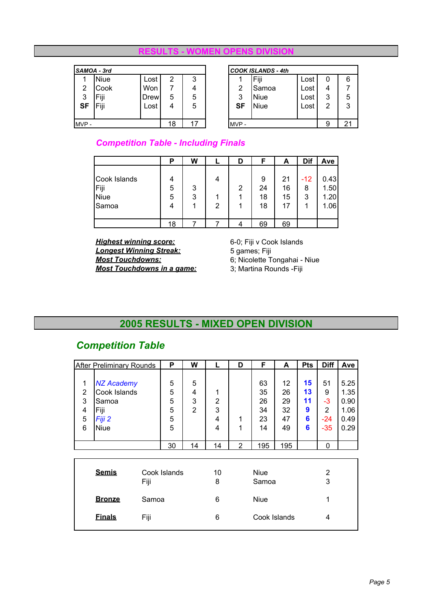#### **RESULTS - WOMEN OPENS DIVISION**

|           | SAMOA - 3rd |      |    |    |           | <b>COOK ISLANDS - 4th</b> |      |   |    |
|-----------|-------------|------|----|----|-----------|---------------------------|------|---|----|
|           | <b>Niue</b> | Lost | 2  | 3  |           | Fiii                      | Lost | 0 | 6  |
| 2         | Cook        | Won  |    | 4  | 2         | Samoa                     | Lost | 4 |    |
| 3         | Fiji        | Drew | 5  | 5  | 3         | Niue                      | Lost | 3 | 5  |
| <b>SF</b> | Fiji        | Lost | 4  | 5  | <b>SF</b> | <b>Niue</b>               | Lost | 2 | 3  |
|           |             |      |    |    |           |                           |      |   |    |
| MVP-      |             |      | 18 | 17 | MVP-      |                           |      |   | 21 |

|    | <b>COOK ISLANDS - 4th</b> |      |   |   |  |  |  |  |  |  |  |
|----|---------------------------|------|---|---|--|--|--|--|--|--|--|
|    | Fiji                      | Lost |   | 6 |  |  |  |  |  |  |  |
| 2  | Samoa                     | Lost |   |   |  |  |  |  |  |  |  |
| 3  | Niue                      | Lost | 3 | 5 |  |  |  |  |  |  |  |
| SF | <b>Niue</b>               | Lost | 2 | 3 |  |  |  |  |  |  |  |
|    |                           |      |   |   |  |  |  |  |  |  |  |
| 21 |                           |      |   |   |  |  |  |  |  |  |  |

*Competition Table - Including Finals*

|              | Ρ  | W |   | D | F  | A  | Dif   | Ave   |
|--------------|----|---|---|---|----|----|-------|-------|
|              |    |   |   |   |    |    |       |       |
| Cook Islands | 4  |   | 4 |   | 9  | 21 | $-12$ | 0.43  |
| Fiji         | 5  | 3 |   | 2 | 24 | 16 | 8     | 1.50  |
| <b>Niue</b>  | 5  | 3 |   |   | 18 | 15 | 3     | 1.201 |
| Samoa        | 4  |   | 2 |   | 18 | 17 |       | 1.06  |
|              |    |   |   |   |    |    |       |       |
|              | 18 |   |   |   | 69 | 69 |       |       |

**Highest winning score:** 6-0; Fiji v Cook Islands<br> **Longest Winning Streak:** 5 games; Fiji **Longest Winning Streak:**<br>Most Touchdowns: **Most Touchdowns in a game:** 

6; Nicolette Tongahai - Niue<br>3; Martina Rounds - Fiji

# **2005 RESULTS - MIXED OPEN DIVISION**

# *Competition Table*

|                  | <b>After Preliminary Rounds</b>                    |       | P                | W                             |                          | D              | F                    | A                    | <b>Pts</b>          | <b>Diff</b>          | Ave                          |
|------------------|----------------------------------------------------|-------|------------------|-------------------------------|--------------------------|----------------|----------------------|----------------------|---------------------|----------------------|------------------------------|
| 1<br>2<br>3<br>4 | <b>NZ Academy</b><br>Cook Islands<br>Samoa<br>Fiji |       | 5<br>5<br>5<br>5 | 5<br>4<br>3<br>$\overline{2}$ | 1<br>$\overline{2}$<br>3 |                | 63<br>35<br>26<br>34 | 12<br>26<br>29<br>32 | 15<br>13<br>11<br>9 | 51<br>9<br>$-3$<br>2 | 5.25<br>1.35<br>0.90<br>1.06 |
| 5<br>6           | Fiji 2<br><b>Niue</b>                              |       | 5<br>5           |                               | 4<br>4                   | 1<br>1         | 23<br>14             | 47<br>49             | 6<br>6              | $-24$<br>$-35$       | 0.49<br>0.29                 |
|                  |                                                    |       | 30               | 14                            | 14                       | $\overline{2}$ | 195                  | 195                  |                     | 0                    |                              |
|                  | <b>Semis</b>                                       | Fiji  | Cook Islands     |                               | 10<br>8                  |                | <b>Niue</b><br>Samoa |                      |                     | 2<br>3               |                              |
|                  | <u>Bronze</u>                                      | Samoa |                  |                               | 6                        |                | <b>Niue</b>          |                      |                     | 1                    |                              |

**Finals** Fiji 6 Cook Islands 4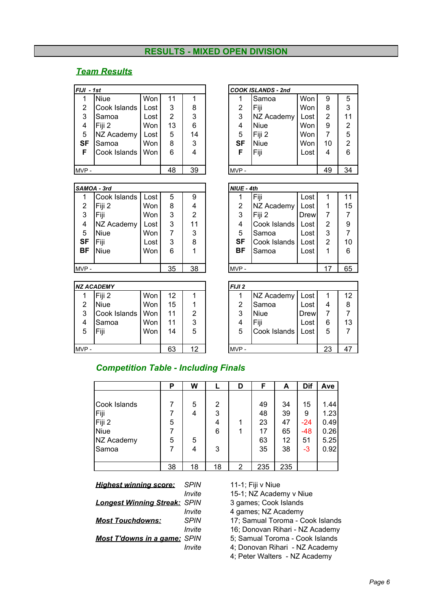#### **RESULTS - MIXED OPEN DIVISION**

#### *Team Results*

| FIJI - 1st |              |      |                |    |      | <b>COOK ISLANDS - 2nd</b> |            |    |                |
|------------|--------------|------|----------------|----|------|---------------------------|------------|----|----------------|
|            | <b>Niue</b>  | Won  | 11             |    |      | Samoa                     | Won        | 9  | 5              |
| 2          | Cook Islands | Lost | 3              | 8  | 2    | Fiji                      | Won        | 8  | 3              |
| 3          | Samoa        | Lost | $\overline{2}$ | 3  | 3    | NZ Academy                | Lost       | 2  | 11             |
| 4          | Fiji 2       | Won  | 13             | 6  | 4    | <b>Niue</b>               | Won        | 9  | $\overline{2}$ |
| 5          | NZ Academy   | Lost | 5              | 14 | 5    | Fiji 2                    | <b>Won</b> | 7  | 5              |
| <b>SF</b>  | Samoa        | Won  | 8              | 3  | SF   | <b>Niue</b>               | Won        | 10 | $\overline{2}$ |
| F          | Cook Islands | Won  | 6              | 4  | F    | Fiji                      | Lost       | 4  | 6              |
|            |              |      |                |    |      |                           |            |    |                |
| MVP-       |              |      | 48             | 39 | MVP- |                           |            | 49 | 34             |

#### *SAMOA - 3rd NIUE - 4th*

| -------   |              |      |    |    |           |              |             |    |    |
|-----------|--------------|------|----|----|-----------|--------------|-------------|----|----|
| 1         | Cook Islands | Lost | 5  | 9  |           | Fiji         | Lost        |    | 11 |
| 2         | Fiji 2       | Won  | 8  | 4  | 2         | NZ Academy   | Lost        |    | 15 |
| 3         | Fiji         | Won  | 3  | 2  | 3         | Fiji 2       | <b>Drew</b> |    | 7  |
| 4         | NZ Academy   | Lost | 3  | 11 | 4         | Cook Islands | Lost        | 2  | 9  |
| 5         | <b>Niue</b>  | Won  |    | 3  | 5         | Samoa        | Lost        | 3  | 7  |
| <b>SF</b> | Fiji         | Lost | 3  | 8  | <b>SF</b> | Cook Islands | Lost        | 2  | 10 |
| BF        | <b>Niue</b>  | Won  | 6  |    | BF        | Samoa        | Lost        |    | 6  |
|           |              |      |    |    |           |              |             |    |    |
| MVP-      |              |      | 35 | 38 | MVP-      |              |             | 17 | 65 |

#### *NZ ACADEMY*<br><sup>1</sup> Fiji 2  $Won 12 1$

|       |                    | ,,,,,,     |    |    |      | <b>IN LAUGUGIII</b> LUJL |      |    | . . |
|-------|--------------------|------------|----|----|------|--------------------------|------|----|-----|
| 2     | <b>Niue</b>        | <b>Won</b> | 15 |    | ົ    | <b>I</b> Samoa           | Lost |    | 8   |
| 3     | Cook Islands   Won |            |    | 2  | 2    | <b>Niue</b>              | Drew |    |     |
| 4     | Samoa              | <b>Won</b> |    | 3  |      | Fiii                     | Lost |    | 1:  |
| 5     | Fiji               | Won        | 14 | 5  | 5    | Cook Islands   Lost      |      | 5  |     |
|       |                    |            |    |    |      |                          |      |    |     |
| MVP - |                    |            | 63 | ィウ | MVP- |                          |      | 23 |     |

| II - 1st       |              |            |    |    |           | <b>COOK ISLANDS - 2nd</b> |      |    |                |
|----------------|--------------|------------|----|----|-----------|---------------------------|------|----|----------------|
| $\mathbf{1}$   | <b>Niue</b>  | Won        | 11 |    |           | Samoa                     | Won  | 9  | 5              |
| $\overline{2}$ | Cook Islands | Lost       | 3  | 8  | 2         | Fiji                      | Won  | 8  | 3              |
| 3              | Samoa        | Lost       | 2  | 3  | 3         | NZ Academy                | Lost | 2  | 11             |
| 4              | Fiji 2       | Won        | 13 | 6  | 4         | <b>Niue</b>               | Won  | 9  | $\overline{2}$ |
| 5              | NZ Academy   | Lost       | 5  | 14 | 5         | Fiji 2                    | Won  | 7  | 5              |
| SF             | Samoa        | Won        | 8  | 3  | <b>SF</b> | <b>Niue</b>               | Won  | 10 | $\overline{2}$ |
| F              | Cook Islands | <b>Won</b> | 6  | 4  | F         | Fiji                      | Lost | 4  | 6              |
|                |              |            |    |    |           |                           |      |    |                |
| /P -           |              |            | 48 | 39 | MVP-      |                           |      | 49 | 34             |
|                |              |            |    |    |           |                           |      |    |                |

| SAMOA - 3rd |              |            |    |    | NIUE - 4th |              |      |    |    |
|-------------|--------------|------------|----|----|------------|--------------|------|----|----|
|             | Cook Islands | Lost       | 5  | 9  |            | Fiji         | Lost |    | 11 |
| 2           | Fiji 2       | <b>Won</b> | 8  | 4  | 2          | NZ Academy   | Lost |    | 15 |
| 3           | Fiji         | Won        | 3  | 2  | 3          | Fiji 2       | Drew |    |    |
| 4           | NZ Academy   | Lost       | 3  | 11 | 4          | Cook Islands | Lost | 2  | 9  |
| 5           | <b>Niue</b>  | Won        |    | 3  | 5          | Samoa        | Lost | 3  |    |
| <b>SF</b>   | Fiji         | Lost       | 3  | 8  | SF         | Cook Islands | Lost | 2  | 10 |
| ΒF          | Niue         | Won        | 6  |    | <b>BF</b>  | Samoa        | Lost | 1  | 6  |
|             |              |            |    |    |            |              |      |    |    |
| MVP -       |              |            | 35 | 38 | MVP-       |              |      | 17 | 65 |

|       | <b>NZ ACADEMY</b> |     |    |    | <b>FIJI2</b> |              |      |    |    |
|-------|-------------------|-----|----|----|--------------|--------------|------|----|----|
|       | Fiji <sub>2</sub> | Won | 12 |    |              | NZ Academy   | Lost |    | 12 |
| 2     | <b>Niue</b>       | Won | 15 |    | 2            | Samoa        | Lost | 4  | 8  |
| 3     | Cook Islands      | Won | 11 | 2  | 3            | <b>Niue</b>  | Drew |    |    |
| 4     | Samoa             | Won | 11 | 3  | 4            | Fiji         | Lost | 6  | 13 |
| 5     | Fiji              | Won | 14 | 5  | 5            | Cook Islands | Lost | 5  |    |
|       |                   |     |    |    |              |              |      |    |    |
| MVP - |                   |     | 63 | 12 | MVP-         |              |      | 23 | 47 |
|       |                   |     |    |    |              |              |      |    |    |

#### *Competition Table - Including Finals*

|              | Р  | W  |                | D | F   | A   | Dif   | Ave  |
|--------------|----|----|----------------|---|-----|-----|-------|------|
|              |    |    |                |   |     |     |       |      |
| Cook Islands |    | 5  | 2              |   | 49  | 34  | 15    | 1.44 |
| Fiji         |    | 4  | 3              |   | 48  | 39  | 9     | 1.23 |
| Fiji 2       | 5  |    | $\overline{4}$ |   | 23  | 47  | $-24$ | 0.49 |
| <b>Niue</b>  |    |    | 6              |   | 17  | 65  | $-48$ | 0.26 |
| NZ Academy   | 5  | 5  |                |   | 63  | 12  | 51    | 5.25 |
| Samoa        | 7  | 4  | 3              |   | 35  | 38  | $-3$  | 0.92 |
|              |    |    |                |   |     |     |       |      |
|              | 38 | 18 | 18             | າ | 235 | 235 |       |      |

| <u>Hiahest winning score:</u>       | <b>SPIN</b> |
|-------------------------------------|-------------|
|                                     | Invite      |
| <b>Longest Winning Streak: SPIN</b> |             |
|                                     | Invite      |
| <u> Most Touchdowns:</u>            | <b>SPIN</b> |
|                                     | Invite      |
| <b>Most T'downs in a game: SPIN</b> |             |
|                                     | Invite      |
|                                     |             |

*Highest winning score: SPIN* 11-1; Fiji v Niue

15-1; NZ Academy v Niue

*Longest Winning Streak: SPIN* 3 games; Cook Islands

4 games; NZ Academy

17; Samual Toroma - Cook Islands

16; Donovan Rihari - NZ Academy

**5**; Samual Toroma - Cook Islands

**4**; Donovan Rihari - NZ Academy

4; Peter Walters - NZ Academy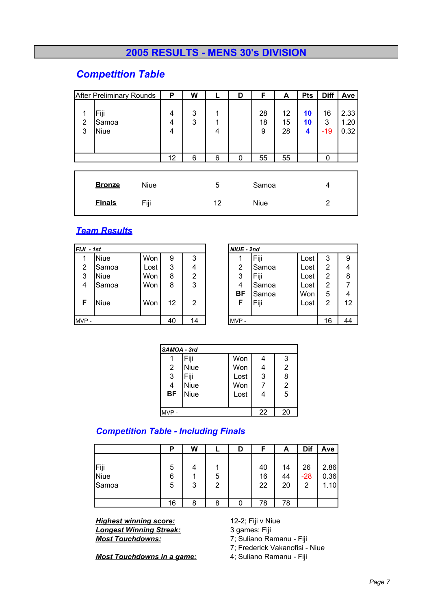# **2005 RESULTS - MENS 30's DIVISION**

## *Competition Table*

|                                             | <b>After Preliminary Rounds</b> |                     | P                              | W           |                  | D                    | F                   | A                    | <b>Pts</b>    | <b>Diff</b>           | Ave                  |
|---------------------------------------------|---------------------------------|---------------------|--------------------------------|-------------|------------------|----------------------|---------------------|----------------------|---------------|-----------------------|----------------------|
| Fiji<br>1<br>2<br>Samoa<br>3<br><b>Niue</b> |                                 |                     | 4<br>4<br>$\overline{4}$<br>12 | 3<br>3<br>6 | 1<br>1<br>4<br>6 | 0                    | 28<br>18<br>9<br>55 | 12<br>15<br>28<br>55 | 10<br>10<br>4 | 16<br>3<br>$-19$<br>0 | 2.33<br>1.20<br>0.32 |
|                                             |                                 |                     |                                |             |                  |                      |                     |                      |               |                       |                      |
|                                             | <b>Bronze</b><br><b>Einals</b>  | <b>Niue</b><br>Fiji |                                |             | 5<br>12          | Samoa<br><b>Niue</b> |                     |                      | 4<br>2        |                       |                      |

#### *Team Results*

| $FJJ - 1st$ |       |      |    |    | NIUE - 2nd     |       |      |    |    |
|-------------|-------|------|----|----|----------------|-------|------|----|----|
|             | Niue  | Won  | 9  | 3  |                | Fiji  | Lost | 3  | 9  |
| 2           | Samoa | Lost | 3  | 4  | $\overline{2}$ | Samoa | Lost | 2  | 4  |
| 3           | Niue  | Won  | 8  | 2  | 3              | Fiji  | Lost | 2  | 8  |
| 4           | Samoa | Won  | 8  | 3  | 4              | Samoa | Lost | 2  | 7  |
|             |       |      |    |    | BF             | Samoa | Won  | 5  | 4  |
| F           | Niue  | Won  | 12 | 2  | F              | Fiji  | Lost | 2  | 12 |
|             |       |      |    |    |                |       |      |    |    |
| MVP-        |       |      | 40 | 14 | MVP-           |       |      | 16 | 44 |
|             |       |      |    |    |                |       |      |    |    |

| SAMOA - 3rd    |             |      |    |                |  |  |  |  |
|----------------|-------------|------|----|----------------|--|--|--|--|
|                | Fiji        | Won  | 4  | 3              |  |  |  |  |
| $\overline{2}$ | <b>Niue</b> | Won  | 4  | $\overline{2}$ |  |  |  |  |
| 3              | Fiji        | Lost | 3  | 8              |  |  |  |  |
| 4              | <b>Niue</b> | Won  |    | $\overline{2}$ |  |  |  |  |
| <b>BF</b>      | <b>Niue</b> | Lost | 4  | $\overline{5}$ |  |  |  |  |
|                |             |      |    |                |  |  |  |  |
| $MVP -$        |             |      | 22 | 20             |  |  |  |  |

#### *Competition Table - Including Finals*

|                              | Р           | W |        | D | F              | A              | Dif              | Ave                  |
|------------------------------|-------------|---|--------|---|----------------|----------------|------------------|----------------------|
| Fiji<br><b>Niue</b><br>Samoa | 5<br>6<br>5 | 3 | 5<br>2 |   | 40<br>16<br>22 | 14<br>44<br>20 | 26<br>$-28$<br>っ | 2.86<br>0.36<br>1.10 |
|                              | 16          | 8 | ጸ      |   | 78             | 78             |                  |                      |

*Highest winning score:* 12-2; Fiji v Niue **Longest Winning Streak:** 3 games; Fiji<br> **Most Touchdowns:** 7; Suliano Ra

**Most Touchdowns in a game:** 

*Most Touchdowns:* 7; Suliano Ramanu - Fiji

7; Frederick Vakanofisi - Niue<br>4; Suliano Ramanu - Fiji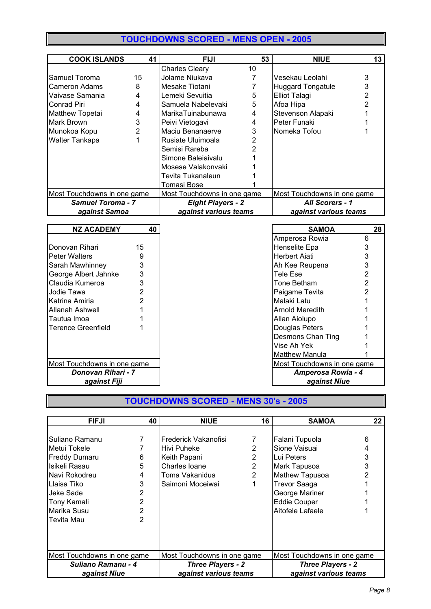# **TOUCHDOWNS SCORED - MENS OPEN - 2005**

| <b>COOK ISLANDS</b>         | 41             | <b>FIJI</b>                                                | 53 | <b>NIUE</b>              | 13 |  |
|-----------------------------|----------------|------------------------------------------------------------|----|--------------------------|----|--|
|                             |                | <b>Charles Cleary</b>                                      | 10 |                          |    |  |
| Samuel Toroma               | 15             | Jolame Niukava                                             |    | Vesekau Leolahi          | 3  |  |
| Cameron Adams               | 8              | Mesake Tiotani                                             |    | <b>Huggard Tongatule</b> | 3  |  |
| Vaivase Samania             | 4              | Lemeki Sevuitia                                            | 5  | <b>Elliot Talagi</b>     |    |  |
| Conrad Piri                 | 4              | Samuela Nabelevaki                                         | 5  | Afoa Hipa                |    |  |
| Matthew Topetai             | $\overline{4}$ | MarikaTuinabunawa                                          | 4  | Stevenson Alapaki        |    |  |
| Mark Brown                  | 3              | Peivi Vietogavi                                            | 4  | Peter Funaki             |    |  |
| Munokoa Kopu                | 2              | Maciu Benanaerve                                           | 3  | Nomeka Tofou             |    |  |
| <b>Walter Tankapa</b>       |                | Rusiate Uluimoala                                          |    |                          |    |  |
|                             |                | Semisi Rareba                                              |    |                          |    |  |
|                             |                | Simone Baleiaivalu                                         |    |                          |    |  |
|                             |                | Mosese Valakonvaki                                         |    |                          |    |  |
|                             |                | Tevita Tukanaleun                                          |    |                          |    |  |
|                             |                | Tomasi Bose                                                |    |                          |    |  |
| Most Touchdowns in one game |                | Most Touchdowns in one game<br>Most Touchdowns in one game |    |                          |    |  |
| Samuel Toroma - 7           |                | <b>Eight Players - 2</b><br>All Scorers - 1                |    |                          |    |  |
| against Samoa               |                | against various teams                                      |    | against various teams    |    |  |

| <b>NZ ACADEMY</b>           | 40             | <b>SAMOA</b>                | 28                 |  |
|-----------------------------|----------------|-----------------------------|--------------------|--|
|                             |                | Amperosa Rowia              | 6                  |  |
| Donovan Rihari              | 15             | Henselite Epa               | 3                  |  |
| <b>Peter Walters</b>        | 9              | <b>Herbert Aiati</b>        | 3                  |  |
| Sarah Mawhinney             | 3              | Ah Kee Reupena              | 3                  |  |
| George Albert Jahnke        | 3              | Tele Ese                    | 2                  |  |
| Claudia Kumeroa             | 3              | Tone Betham                 | 2                  |  |
| Jodie Tawa                  | $\overline{2}$ | Paigame Tevita              | 2                  |  |
| Katrina Amiria              |                | Malaki Latu                 |                    |  |
| <b>Allanah Ashwell</b>      |                | Arnold Meredith             |                    |  |
| Tautua Imoa                 |                | Allan Aiolupo               |                    |  |
| <b>Terence Greenfield</b>   |                | Douglas Peters              |                    |  |
|                             |                | Desmons Chan Ting           |                    |  |
|                             |                | Vise Ah Yek                 |                    |  |
|                             |                | <b>Matthew Manula</b>       |                    |  |
| Most Touchdowns in one game |                | Most Touchdowns in one game |                    |  |
| Donovan Rihari - 7          |                |                             | Amperosa Rowia - 4 |  |
| against Fiji                |                |                             | against Niue       |  |

# **TOUCHDOWNS SCORED - MENS 30's - 2005**

| <b>FIFJI</b>                | 40 | <b>NIUE</b>                                                | 16             | <b>SAMOA</b>          | 22 |
|-----------------------------|----|------------------------------------------------------------|----------------|-----------------------|----|
|                             |    |                                                            |                |                       |    |
| Suliano Ramanu              |    | IFrederick Vakanofisi                                      | 7              | Falani Tupuola        | 6  |
| Metui Tokele                |    | Hivi Puheke                                                | 2              | Sione Vaisuai         |    |
| <b>Freddy Dumaru</b>        | 6  | Keith Papani                                               | 2              | Lui Peters            | 3  |
| Isikeli Rasau               | 5  | Charles Ioane                                              | 2              | Mark Tapusoa          |    |
| lNavi Rokodreu              | 4  | Toma Vakanidua                                             | $\overline{2}$ | Mathew Tapusoa        |    |
| Llaisa Tiko                 | 3  | Saimoni Moceiwai                                           |                | <b>Trevor Saaga</b>   |    |
| Jeke Sade                   | 2  |                                                            |                | George Mariner        |    |
| Tony Kamali                 | 2  |                                                            |                | <b>Eddie Couper</b>   |    |
| Marika Susu                 | 2  |                                                            |                | Aitofele Lafaele      |    |
| Tevita Mau                  | 2  |                                                            |                |                       |    |
|                             |    |                                                            |                |                       |    |
|                             |    |                                                            |                |                       |    |
|                             |    |                                                            |                |                       |    |
| Most Touchdowns in one game |    | Most Touchdowns in one game<br>Most Touchdowns in one game |                |                       |    |
| Suliano Ramanu - 4          |    | <b>Three Players - 2</b><br><b>Three Players - 2</b>       |                |                       |    |
| against Niue                |    | against various teams                                      |                | against various teams |    |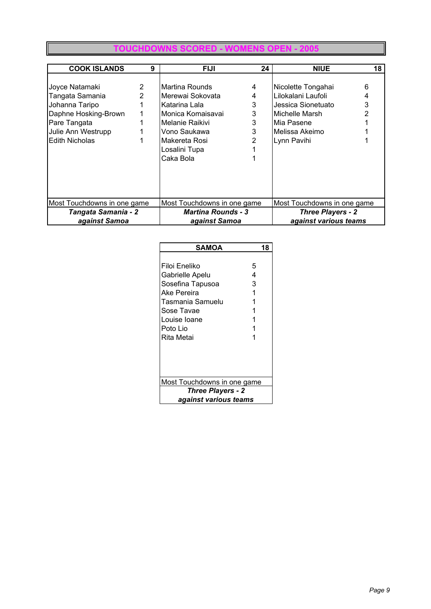#### **TOUCHDOWNS SCORED - WOMENS O**

| <b>COOK ISLANDS</b>         | 9              | <b>FIJI</b>                 | 24 | <b>NIUE</b>                 | 18 |  |
|-----------------------------|----------------|-----------------------------|----|-----------------------------|----|--|
|                             |                |                             |    |                             |    |  |
| Joyce Natamaki              | $\overline{2}$ | Martina Rounds              | 4  | Nicolette Tongahai          | 6  |  |
| Tangata Samania             | 2              | Merewai Sokovata            | 4  | Lilokalani Laufoli          | 4  |  |
| Johanna Taripo              |                | Katarina Lala               | 3  | Jessica Sionetuato          | 3  |  |
| Daphne Hosking-Brown        |                | Monica Komaisavai           | 3  | Michelle Marsh              |    |  |
| Pare Tangata                |                | Melanie Raikivi             | 3  | Mia Pasene                  |    |  |
| Julie Ann Westrupp          |                | Vono Saukawa                | 3  | Melissa Akeimo              |    |  |
| <b>Edith Nicholas</b>       |                | Makereta Rosi               |    | Lynn Pavihi                 |    |  |
|                             |                | Losalini Tupa               |    |                             |    |  |
|                             |                | Caka Bola                   |    |                             |    |  |
|                             |                |                             |    |                             |    |  |
|                             |                |                             |    |                             |    |  |
|                             |                |                             |    |                             |    |  |
|                             |                |                             |    |                             |    |  |
| Most Touchdowns in one game |                | Most Touchdowns in one game |    | Most Touchdowns in one game |    |  |
| Tangata Samania - 2         |                | <b>Martina Rounds - 3</b>   |    | <b>Three Players - 2</b>    |    |  |
| against Samoa               |                | against Samoa               |    | against various teams       |    |  |

| <b>SAMOA</b>                                                                                                                                    | 18               |  |  |  |  |  |
|-------------------------------------------------------------------------------------------------------------------------------------------------|------------------|--|--|--|--|--|
| Filoi Eneliko<br>Gabrielle Apelu<br>Sosefina Tapusoa<br>Ake Pereira<br>Tasmania Samuelu<br>Sose Tavae<br>Louise Ioane<br>Poto Lio<br>Rita Metai | 5<br>4<br>3<br>1 |  |  |  |  |  |
| Most Touchdowns in one game                                                                                                                     |                  |  |  |  |  |  |
| <b>Three Players - 2</b>                                                                                                                        |                  |  |  |  |  |  |
| against various teams                                                                                                                           |                  |  |  |  |  |  |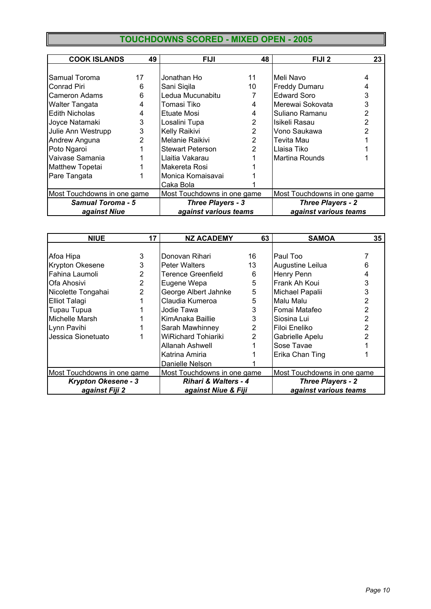# **TOUCHDOWNS SCORED - MIXED OPEN - 2005**

| <b>COOK ISLANDS</b>         | 49 | <b>FIJI</b>                 | 48 | FIJI <sub>2</sub>           | 23 |
|-----------------------------|----|-----------------------------|----|-----------------------------|----|
|                             |    |                             |    |                             |    |
| Samual Toroma               | 17 | Jonathan Ho                 | 11 | Meli Navo                   |    |
| Conrad Piri                 | 6  | Sani Sigila                 | 10 | <b>Freddy Dumaru</b>        |    |
| Cameron Adams               | 6  | Ledua Mucunabitu            |    | <b>Edward Soro</b>          | 3  |
| <b>Walter Tangata</b>       | 4  | Tomasi Tiko                 |    | Merewai Sokovata            | 3  |
| Edith Nicholas              | 4  | Etuate Mosi                 |    | Suliano Ramanu              | 2  |
| Joyce Natamaki              | 3  | Losalini Tupa               |    | Isikeli Rasau               |    |
| Julie Ann Westrupp          | 3  | Kelly Raikivi               | 2  | Vono Saukawa                |    |
| Andrew Anguna               | 2  | Melanie Raikivi             | 2  | Tevita Mau                  |    |
| Poto Ngaroi                 |    | <b>Stewart Peterson</b>     | 2  | Llaisa Tiko                 |    |
| Vaivase Samania             |    | Llaitia Vakarau             |    | Martina Rounds              |    |
| <b>Matthew Topetai</b>      |    | Makereta Rosi               |    |                             |    |
| Pare Tangata                |    | Monica Komaisavai           |    |                             |    |
|                             |    | Caka Bola                   |    |                             |    |
| Most Touchdowns in one game |    | Most Touchdowns in one game |    | Most Touchdowns in one game |    |
| <b>Samual Toroma - 5</b>    |    | <b>Three Players - 3</b>    |    | <b>Three Players - 2</b>    |    |
| against Niue                |    | against various teams       |    | against various teams       |    |

| <b>NIUE</b>                 | 17             | <b>NZ ACADEMY</b>               | 63             | <b>SAMOA</b>                | 35 <sub>5</sub> |
|-----------------------------|----------------|---------------------------------|----------------|-----------------------------|-----------------|
|                             |                |                                 |                |                             |                 |
| Afoa Hipa                   | 3              | Donovan Rihari                  | 16             | Paul Too                    |                 |
| Krypton Okesene             | 3              | <b>Peter Walters</b>            | 13             | Augustine Leilua            | 6               |
| Fahina Laumoli              | 2              | <b>Terence Greenfield</b>       | 6              | Henry Penn                  | 4               |
| Ofa Ahosivi                 | 2              | Eugene Wepa                     | 5              | Frank Ah Koui               | 3               |
| Nicolette Tongahai          | $\overline{2}$ | George Albert Jahnke            | 5              | Michael Papalii             | 3               |
| <b>Elliot Talagi</b>        |                | Claudia Kumeroa                 | 5              | Malu Malu                   |                 |
| Tupau Tupua                 |                | Jodie Tawa                      |                | Fomai Matafeo               |                 |
| Michelle Marsh              |                | KimAnaka Baillie                | 3              | Siosina Lui                 |                 |
| Lynn Pavihi                 |                | Sarah Mawhinney                 | $\overline{2}$ | Filoi Eneliko               |                 |
| Jessica Sionetuato          |                | <b>WiRichard Tohiariki</b>      | 2              | Gabrielle Apelu             |                 |
|                             |                | Allanah Ashwell                 |                | Sose Tavae                  |                 |
|                             |                | Katrina Amiria                  |                | Erika Chan Ting             |                 |
|                             |                | Danielle Nelson                 |                |                             |                 |
| Most Touchdowns in one game |                | Most Touchdowns in one game     |                | Most Touchdowns in one game |                 |
| <b>Krypton Okesene - 3</b>  |                | <b>Rihari &amp; Walters - 4</b> |                | Three Players - 2           |                 |
| against Fiji 2              |                | against Niue & Fiji             |                | against various teams       |                 |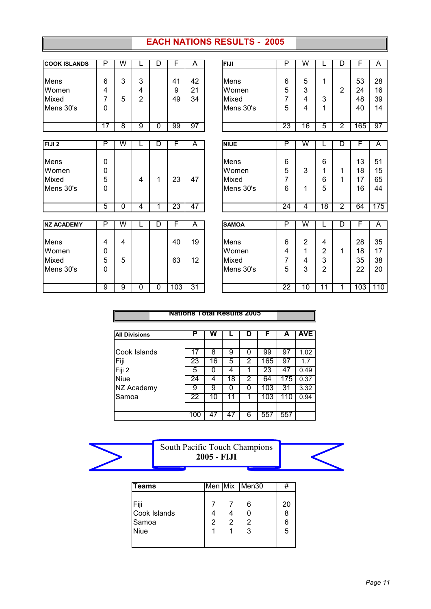## **EACH NATIONS RESULTS - 2005**

| <b>COOK ISLANDS</b> | P              | W                       |             | D | F   | A  | <b>FIJI</b>  | P               | W                       |                | D              | F   | A   |
|---------------------|----------------|-------------------------|-------------|---|-----|----|--------------|-----------------|-------------------------|----------------|----------------|-----|-----|
|                     |                |                         |             |   |     |    |              |                 |                         |                |                |     |     |
| <b>Mens</b>         | 6              | 3                       | 3           |   | 41  | 42 | Mens         | 6               | 5                       | 1              |                | 53  | 28  |
| Women               | 4              |                         | 4           |   | 9   | 21 | Women        | 5               | 3                       |                | 2              | 24  | 16  |
| Mixed               | 7              | 5                       | 2           |   | 49  | 34 | Mixed        | 7               | 4                       | 3              |                | 48  | 39  |
| Mens 30's           | 0              |                         |             |   |     |    | Mens 30's    | 5               | $\overline{\mathbf{4}}$ | 1              |                | 40  | 14  |
|                     | 17             | $\overline{8}$          | 9           | 0 | 99  | 97 |              | 23              | 16                      | 5              | $\overline{2}$ | 165 | 97  |
|                     |                |                         |             |   |     |    |              |                 |                         |                |                |     |     |
| FIJI <sub>2</sub>   | P              | W                       |             | D | F   | A  | <b>NIUE</b>  | P               | W                       |                | D              | F   | A   |
| <b>Mens</b>         | $\mathbf{0}$   |                         |             |   |     |    | Mens         | 6               |                         | 6              |                | 13  | 51  |
| Women               | 0              |                         |             |   |     |    | Women        | 5               | 3                       |                | 1              | 18  | 15  |
| Mixed               | 5              |                         | 4           | 1 | 23  | 47 | Mixed        | 7               |                         | 6              | 1              | 17  | 65  |
| Mens 30's           | 0              |                         |             |   |     |    | Mens 30's    | 6               | 1                       | 5              |                | 16  | 44  |
|                     | $\overline{5}$ | $\overline{0}$          | 4           | 1 | 23  | 47 |              | $\overline{24}$ | 4                       | 18             | $\overline{2}$ | 64  | 175 |
|                     |                |                         |             |   |     |    |              |                 |                         |                |                |     |     |
| <b>NZ ACADEMY</b>   | P              | $\overline{\mathsf{W}}$ |             | D | F   | A  | <b>SAMOA</b> | P               | W                       |                | D              | F   | A   |
| Mens                | 4              | 4                       |             |   | 40  | 19 | Mens         | 6               | $\overline{2}$          | 4              |                | 28  | 35  |
| Women               | 0              |                         |             |   |     |    | Women        | 4               | 1                       | $\overline{2}$ | 1              | 18  | 17  |
| Mixed               | 5              | 5                       |             |   | 63  | 12 | Mixed        | 7               | 4                       | 3              |                | 35  | 38  |
| Mens 30's           | 0              |                         |             |   |     |    | Mens 30's    | 5               | 3                       | $\overline{2}$ |                | 22  | 20  |
|                     | $\overline{9}$ | g                       | $\mathbf 0$ | 0 | 103 | 31 |              | 22              | $\overline{10}$         | 11             | 1              | 103 | 110 |

|                      | Nations Total Results 2005 |    |    |   |     |     |            |
|----------------------|----------------------------|----|----|---|-----|-----|------------|
| <b>All Divisions</b> | Ρ                          | w  |    | D |     | A   | <b>AVE</b> |
| Cook Islands         |                            | 8  | 9  | 0 | 99  | 97  | 1.02       |
| Fiji                 | 23                         | 16 | 5  | 2 | 165 | 97  | 1.7        |
| Fiji 2               | 5                          | n  | 4  | 1 | 23  | 47  | 0.49       |
| <b>Niue</b>          | 24                         | 4  | 18 | 2 | 64  | 175 | 0.37       |
| NZ Academy           | 9                          | 9  | n  | ი | 103 | 31  | 3.32       |
| Samoa                | 22                         | 10 | 11 |   | 103 | 110 | 0.94       |
|                      |                            |    |    |   |     |     |            |
|                      | 100                        | 47 | 47 | 6 | 55  | 557 |            |



| lTeams                                |   |                | Men Mix Men30 | Ŧ                 |
|---------------------------------------|---|----------------|---------------|-------------------|
| Fiji<br>Cook Islands<br>Samoa<br>Niue | 2 | $\overline{2}$ | 6<br>-2<br>3  | 20<br>8<br>6<br>5 |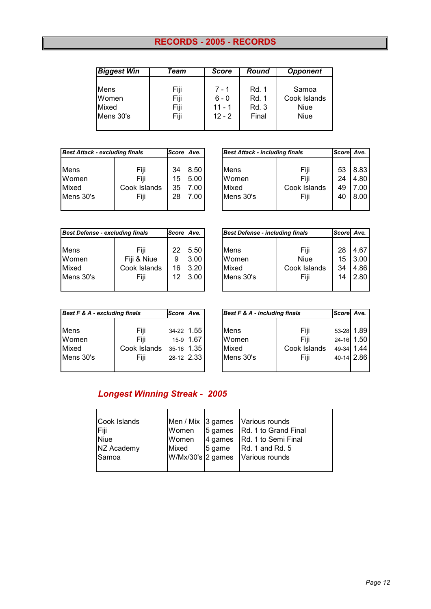# **RECORDS - 2005 - RECORDS**

| <b>Biggest Win</b> | Team | <b>Score</b> | Round        | <b>Opponent</b> |
|--------------------|------|--------------|--------------|-----------------|
| Mens               | Fiji | $7 - 1$      | <b>Rd. 1</b> | Samoa           |
| Women              | Fiji | $6 - 0$      | Rd. 1        | Cook Islands    |
| Mixed              | Fiji | $11 - 1$     | <b>Rd. 3</b> | Niue            |
| Mens 30's          | Fiji | $12 - 2$     | Final        | Niue            |

| <b>Best Attack - excluding finals</b> |              | Scorel Ave. |      |           | <b>Best Attack - including finals</b> | <b>Scorel</b> | Ave. |
|---------------------------------------|--------------|-------------|------|-----------|---------------------------------------|---------------|------|
|                                       |              |             |      |           |                                       |               |      |
| <b>Mens</b>                           | Fiji         | 34          | 8.50 | Mens      | Fiji                                  | 53            | 8.83 |
| Women                                 | Fiii         | 15          | 5.00 | Women     | Fiii                                  | 24            | 4.80 |
| Mixed                                 | Cook Islands | 35          | 7.00 | Mixed     | Cook Islands                          | 49            | 7.00 |
| Mens 30's                             | Fiji         | 28          | 7.00 | Mens 30's | Fiji                                  | 40            | 8.00 |
|                                       |              |             |      |           |                                       |               |      |

| <b>Best Attack - including finals</b> |              | Score Ave. |      |
|---------------------------------------|--------------|------------|------|
| <b>Mens</b>                           | Fiji         | 53         | 8.83 |
| Women                                 | Fiji         | 24         | 4.80 |
| Mixed                                 | Cook Islands | 49         | 7.00 |
| Mens 30's                             | Fiji         | 40         | 8.00 |

| <b>Best Defense - excluding finals</b> |              | Scorel Ave. |      |
|----------------------------------------|--------------|-------------|------|
|                                        |              |             |      |
| Mens                                   | Fiji         | 22          | 5.50 |
| Women                                  | Fiji & Niue  | 9           | 3.00 |
| Mixed                                  | Cook Islands | 16          | 3.20 |
| Mens 30's                              | Fiii         | 12          | 3.00 |
|                                        |              |             |      |

| <b>Best Defense - excluding finals</b> |              | Scorel Ave. |      |             | <b>Best Defense - including finals</b> | <b>Score</b> | Ave. |
|----------------------------------------|--------------|-------------|------|-------------|----------------------------------------|--------------|------|
|                                        |              |             |      |             |                                        |              |      |
| Mens                                   | Fiji         | 22          | 5.50 | <b>Mens</b> | Fiji                                   | 28           | 4.67 |
| Women                                  | Fiji & Niue  | 9           | 3.00 | Women       | <b>Niue</b>                            | 15           | 3.00 |
| Mixed                                  | Cook Islands | 16          | 3.20 | Mixed       | Cook Islands                           | 34           | 4.86 |
| Mens 30's                              | Fiji         | 12          | 3.00 | Mens 30's   | Fiii                                   | 14           | 2.80 |
|                                        |              |             |      |             |                                        |              |      |

| Best F & A - excluding finals |      |                          |
|-------------------------------|------|--------------------------|
|                               |      |                          |
|                               |      |                          |
| Fiii                          |      | 15-9 1.67                |
| Cook Islands                  |      | 35-16 1.35               |
| Fiji                          |      | 28-12 2.33               |
|                               | Fiji | Score Ave.<br>34-22 1.55 |

| Best F & A - excluding finals |              | <b>Score</b> | Ave.       |
|-------------------------------|--------------|--------------|------------|
|                               |              |              |            |
| Mens                          | Fiji         | $34 - 22$    | 1.55       |
| Women                         | Fiii         | $15-9$       | 1.67       |
| Mixed                         | Cook Islands |              | 35-16 1.35 |
| Mens 30's                     | Fiji         |              | 28-12 2.33 |
|                               |              |              |            |

# *Longest Winning Streak - 2005*

| Cook Islands |       | Men / Mix 3 games Various rounds                 |
|--------------|-------|--------------------------------------------------|
| Fiji         | Women | 5 games   Rd. 1 to Grand Final                   |
| <b>Niue</b>  | Women | 4 games Rd. 1 to Semi Final                      |
| NZ Academy   | Mixed | $5$ game $\left  \text{Rd. 1 and Rd. 5} \right $ |
| Samoa        |       | W/Mx/30's 2 games Various rounds                 |
|              |       |                                                  |